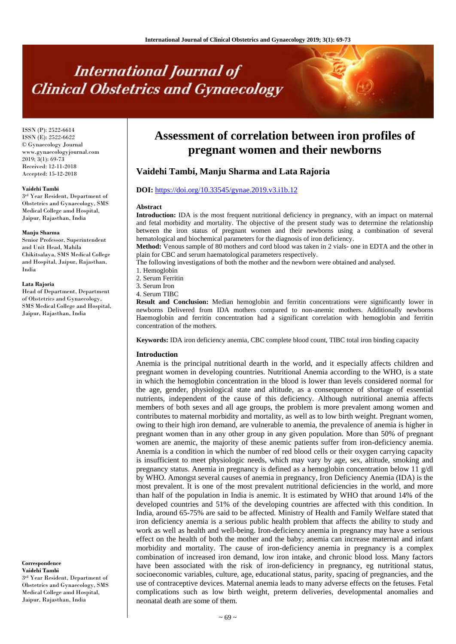# **International Journal of Clinical Obstetrics and Gynaecology**

ISSN (P): 2522-6614 ISSN (E): 2522-6622 © Gynaecology Journal www.gynaecologyjournal.com  $2019$ ;  $3(1)$ : 69-73 Received: 12-11-2018 Accepted: 15-12-2018

#### **Vaidehi Tambi**

3 rd Year Resident, Department of Obstetrics and Gynaecology, SMS Medical College amd Hospital, Jaipur, Rajasthan, India

#### **Manju Sharma**

Senior Professor, Superintendent and Unit Head, Mahila Chikitsalaya, SMS Medical College and Hospital, Jaipur, Rajasthan, India

#### **Lata Rajoria**

Head of Department, Department of Obstetrics and Gynaecology, SMS Medical College and Hospital, Jaipur, Rajasthan, India

#### **Correspondence Vaidehi Tambi**

3 rd Year Resident, Department of Obstetrics and Gynaecology, SMS Medical College amd Hospital, Jaipur, Rajasthan, India

# **Assessment of correlation between iron profiles of pregnant women and their newborns**

# **Vaidehi Tambi, Manju Sharma and Lata Rajoria**

### **DOI:** <https://doi.org/10.33545/gynae.2019.v3.i1b.12>

#### **Abstract**

**Introduction:** IDA is the most frequent nutritional deficiency in pregnancy, with an impact on maternal and fetal morbidity and mortality. The objective of the present study was to determine the relationship between the iron status of pregnant women and their newborns using a combination of several hematological and biochemical parameters for the diagnosis of iron deficiency.

**Method:** Venous sample of 80 mothers and cord blood was taken in 2 vials- one in EDTA and the other in plain for CBC and serum haematological parameters respectively.

The following investigations of both the mother and the newborn were obtained and analysed.

- 1. Hemoglobin
- 2. Serum Ferritin
- 3. Serum Iron
- 4. Serum TIBC

**Result and Conclusion:** Median hemoglobin and ferritin concentrations were significantly lower in newborns Delivered from IDA mothers compared to non-anemic mothers. Additionally newborns Haemoglobin and ferritin concentration had a significant correlation with hemoglobin and ferritin concentration of the mothers.

**Keywords:** IDA iron deficiency anemia, CBC complete blood count, TIBC total iron binding capacity

#### **Introduction**

Anemia is the principal nutritional dearth in the world, and it especially affects children and pregnant women in developing countries. Nutritional Anemia according to the WHO, is a state in which the hemoglobin concentration in the blood is lower than levels considered normal for the age, gender, physiological state and altitude, as a consequence of shortage of essential nutrients, independent of the cause of this deficiency. Although nutritional anemia affects members of both sexes and all age groups, the problem is more prevalent among women and contributes to maternal morbidity and mortality, as well as to low birth weight. Pregnant women, owing to their high iron demand, are vulnerable to anemia, the prevalence of anemia is higher in pregnant women than in any other group in any given population. More than 50% of pregnant women are anemic, the majority of these anemic patients suffer from iron-deficiency anemia. Anemia is a condition in which the number of red blood cells or their oxygen carrying capacity is insufficient to meet physiologic needs, which may vary by age, sex, altitude, smoking and pregnancy status. Anemia in pregnancy is defined as a hemoglobin concentration below 11 g/dl by WHO. Amongst several causes of anemia in pregnancy, Iron Deficiency Anemia (IDA) is the most prevalent. It is one of the most prevalent nutritional deficiencies in the world, and more than half of the population in India is anemic. It is estimated by WHO that around 14% of the developed countries and 51% of the developing countries are affected with this condition. In India, around 65-75% are said to be affected. Ministry of Health and Family Welfare stated that iron deficiency anemia is a serious public health problem that affects the ability to study and work as well as health and well-being. Iron-deficiency anemia in pregnancy may have a serious effect on the health of both the mother and the baby; anemia can increase maternal and infant morbidity and mortality. The cause of iron-deficiency anemia in pregnancy is a complex combination of increased iron demand, low iron intake, and chronic blood loss. Many factors have been associated with the risk of iron-deficiency in pregnancy, eg nutritional status, socioeconomic variables, culture, age, educational status, parity, spacing of pregnancies, and the use of contraceptive devices. Maternal anemia leads to many adverse effects on the fetuses. Fetal complications such as low birth weight, preterm deliveries, developmental anomalies and neonatal death are some of them.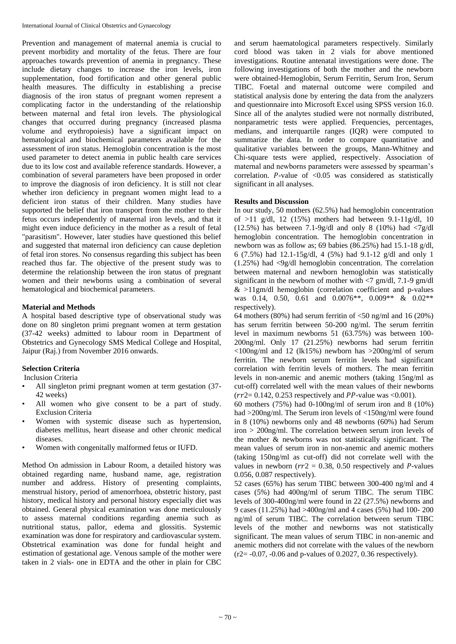Prevention and management of maternal anemia is crucial to prevent morbidity and mortality of the fetus. There are four approaches towards prevention of anemia in pregnancy. These include dietary changes to increase the iron levels, iron supplementation, food fortification and other general public health measures. The difficulty in establishing a precise diagnosis of the iron status of pregnant women represent a complicating factor in the understanding of the relationship between maternal and fetal iron levels. The physiological changes that occurred during pregnancy (increased plasma volume and erythropoiesis) have a significant impact on hematological and biochemical parameters available for the assessment of iron status. Hemoglobin concentration is the most used parameter to detect anemia in public health care services due to its low cost and available reference standards. However, a combination of several parameters have been proposed in order to improve the diagnosis of iron deficiency. It is still not clear whether iron deficiency in pregnant women might lead to a deficient iron status of their children. Many studies have supported the belief that iron transport from the mother to their fetus occurs independently of maternal iron levels, and that it might even induce deficiency in the mother as a result of fetal "parasitism". However, later studies have questioned this belief and suggested that maternal iron deficiency can cause depletion of fetal iron stores. No consensus regarding this subject has been reached thus far. The objective of the present study was to determine the relationship between the iron status of pregnant women and their newborns using a combination of several hematological and biochemical parameters.

# **Material and Methods**

A hospital based descriptive type of observational study was done on 80 singleton primi pregnant women at term gestation (37-42 weeks) admitted to labour room in Department of Obstetrics and Gynecology SMS Medical College and Hospital, Jaipur (Raj.) from November 2016 onwards.

# **Selection Criteria**

Inclusion Criteria

- All singleton primi pregnant women at term gestation (37- 42 weeks)
- All women who give consent to be a part of study. Exclusion Criteria
- Women with systemic disease such as hypertension, diabetes mellitus, heart disease and other chronic medical diseases.
- Women with congenitally malformed fetus or IUFD.

Method On admission in Labour Room, a detailed history was obtained regarding name, husband name, age, registration number and address. History of presenting complaints, menstrual history, period of amenorrhoea, obstetric history, past history, medical history and personal history especially diet was obtained. General physical examination was done meticulously to assess maternal conditions regarding anemia such as nutritional status, pallor, edema and glossitis. Systemic examination was done for respiratory and cardiovascular system. Obstetrical examination was done for fundal height and estimation of gestational age. Venous sample of the mother were taken in 2 vials- one in EDTA and the other in plain for CBC

and serum haematological parameters respectively. Similarly cord blood was taken in 2 vials for above mentioned investigations. Routine antenatal investigations were done. The following investigations of both the mother and the newborn were obtained-Hemoglobin, Serum Ferritin, Serum Iron, Serum TIBC. Foetal and maternal outcome were compiled and statistical analysis done by entering the data from the analyzers and questionnaire into Microsoft Excel using SPSS version 16.0. Since all of the analytes studied were not normally distributed, nonparametric tests were applied. Frequencies, percentages, medians, and interquartile ranges (IQR) were computed to summarize the data. In order to compare quantitative and qualitative variables between the groups, Mann-Whitney and Chi-square tests were applied, respectively. Association of maternal and newborns parameters were assessed by spearman's correlation. P-value of  $\langle 0.05 \rangle$  was considered as statistically significant in all analyses.

# **Results and Discussion**

In our study, 50 mothers (62.5%) had hemoglobin concentration of  $>11$  g/dl, 12 (15%) mothers had between 9.1-11g/dl, 10 (12.5%) has between 7.1-9g/dl and only 8 (10%) had  $\langle 7g/dl \rangle$ hemoglobin concentration. The hemoglobin concentration in newborn was as follow as; 69 babies (86.25%) had 15.1-18 g/dl, 6 (7.5%) had 12.1-15g/dl, 4 (5%) had 9.1-12 g/dl and only 1 (1.25%) had <9g/dl hemoglobin concentration. The correlation between maternal and newborn hemoglobin was statistically significant in the newborn of mother with  $\langle 7 \text{ gm/dl}, 7.1\text{-}9 \text{ gm/dl} \rangle$  $&$  >11gm/dl hemoglobin (correlation coefficient and p-values was 0.14, 0.50, 0.61 and 0.0076\*\*, 0.009\*\* & 0.02\*\* respectively).

64 mothers (80%) had serum ferritin of  $\langle 50 \text{ ng/ml} \rangle$  and 16 (20%) has serum ferritin between 50-200 ng/ml. The serum ferritin level in maximum newborns 51 (63.75%) was between 100- 200ng/ml. Only 17 (21.25%) newborns had serum ferritin <100ng/ml and 12 (lk15%) newborn has >200ng/ml of serum ferritin. The newborn serum ferritin levels had significant correlation with ferritin levels of mothers. The mean ferritin levels in non-anemic and anemic mothers (taking 15ng/ml as cut-off) correlated well with the mean values of their newborns  $(rr2 = 0.142, 0.253$  respectively and PP-value was <0.001).

60 mothers (75%) had 0-100ng/ml of serum iron and 8 (10%) had >200ng/ml. The Serum iron levels of <150ng/ml were found in 8 (10%) newborns only and 48 newborns (60%) had Serum iron > 200ng/ml. The correlation between serum iron levels of the mother & newborns was not statistically significant. The mean values of serum iron in non-anemic and anemic mothers (taking 150ng/ml as cut-off) did not correlate well with the values in newborn ( $rr2 = 0.38$ , 0.50 respectively and P-values 0.056, 0.087 respectively).

52 cases (65%) has serum TIBC between 300-400 ng/ml and 4 cases (5%) had 400ng/ml of serum TIBC. The serum TIBC levels of 300-400ng/ml were found in 22 (27.5%) newborns and 9 cases (11.25%) had >400ng/ml and 4 cases (5%) had 100- 200 ng/ml of serum TIBC. The correlation between serum TIBC levels of the mother and newborns was not statistically significant. The mean values of serum TIBC in non-anemic and anemic mothers did not correlate with the values of the newborn  $(r2 = -0.07, -0.06$  and p-values of 0.2027, 0.36 respectively).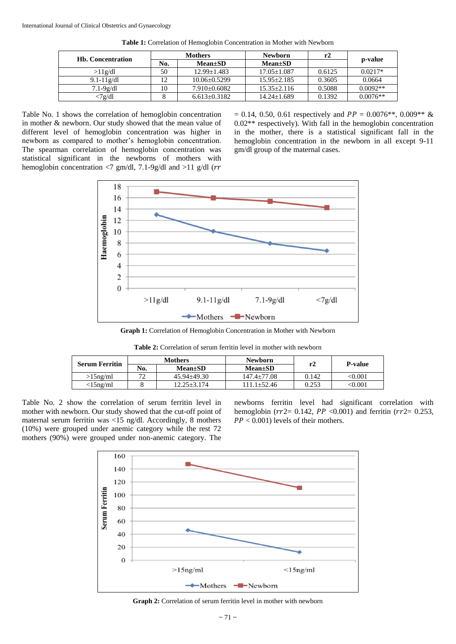| <b>Hb.</b> Concentration | <b>Mothers</b> |                  | <b>Newborn</b>  | r2     |            |  |
|--------------------------|----------------|------------------|-----------------|--------|------------|--|
|                          | No.            | <b>Mean±SD</b>   | $Mean \pm SD$   |        | p-value    |  |
| >11g/dl                  | 50             | $12.99 + 1.483$  | $17.05 + 1.087$ | 0.6125 | $0.0217*$  |  |
| $9.1 - 11g/dl$           | $1^{\circ}$    | $10.06 + 0.5299$ | $15.95 + 2.185$ | 0.3605 | 0.0664     |  |
| $7.1-9g/dl$              | 10             | $7.910+0.6082$   | $15.35 + 2.116$ | 0.5088 | $0.0092**$ |  |
| <7g/dl                   |                | $6.613+0.3182$   | $14.24 + 1.689$ | 0.1392 | $0.0076**$ |  |

**Table 1:** Correlation of Hemoglobin Concentration in Mother with Newborn

Table No. 1 shows the correlation of hemoglobin concentration in mother & newborn. Our study showed that the mean value of different level of hemoglobin concentration was higher in newborn as compared to mother's hemoglobin concentration. The spearman correlation of hemoglobin concentration was statistical significant in the newborns of mothers with hemoglobin concentration <7 gm/dl, 7.1-9g/dl and >11 g/dl ( $rr$ 

 $= 0.14, 0.50, 0.61$  respectively and  $PP = 0.0076**, 0.009**$  & 0.02\*\* respectively). With fall in the hemoglobin concentration in the mother, there is a statistical significant fall in the hemoglobin concentration in the newborn in all except 9-11 gm/dl group of the maternal cases.



**Graph 1:** Correlation of Hemoglobin Concentration in Mother with Newborn

**Table 2:** Correlation of serum ferritin level in mother with newborn

| <b>Serum Ferritin</b> | <b>Mothers</b> |                 | <b>Newborn</b>  |       |                |
|-----------------------|----------------|-----------------|-----------------|-------|----------------|
|                       | No.            | $Mean \pm SD$   | $Mean \pm SD$   |       | P-value        |
| $>15$ ng/ml           | $\mathbf{a}$   | $45.94 + 49.30$ | $147.4 + 77.08$ | 0.142 | $<$ 0.001 $\,$ |
| $<$ 15ng/ml           |                | $12.25 + 3.174$ | 111.1+52.46     | 0.253 | <0.001         |

Table No. 2 show the correlation of serum ferritin level in mother with newborn. Our study showed that the cut-off point of maternal serum ferritin was <15 ng/dl. Accordingly, 8 mothers (10%) were grouped under anemic category while the rest 72 mothers (90%) were grouped under non-anemic category. The newborns ferritin level had significant correlation with hemoglobin ( $rr2 = 0.142$ ,  $PP < 0.001$ ) and ferritin ( $rr2 = 0.253$ ,  $PP < 0.001$ ) levels of their mothers.



Graph 2: Correlation of serum ferritin level in mother with newborn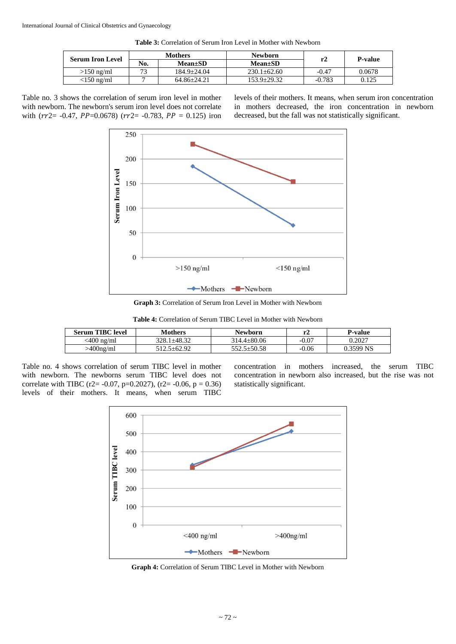**Table 3:** Correlation of Serum Iron Level in Mother with Newborn

| <b>Serum Iron Level</b> | <b>Mothers</b> |                 | <b>Newborn</b>  |          | <b>P-value</b> |
|-------------------------|----------------|-----------------|-----------------|----------|----------------|
|                         | No.            | $Mean \pm SD$   | <b>Mean</b> ±SD |          |                |
| $>150$ ng/ml            | 73             | $184.9 + 24.04$ | $230.1 + 62.60$ | $-0.47$  | 0.0678         |
| $<$ 150 ng/ml           |                | $64.86 + 24.21$ | $153.9 + 29.32$ | $-0.783$ | 0.125          |

Table no. 3 shows the correlation of serum iron level in mother with newborn. The newborn's serum iron level does not correlate with  $(rr2 = -0.47, PP=0.0678)$   $(rr2 = -0.783, PP = 0.125)$  iron levels of their mothers. It means, when serum iron concentration in mothers decreased, the iron concentration in newborn decreased, but the fall was not statistically significant.



**Graph 3:** Correlation of Serum Iron Level in Mother with Newborn

**Table 4:** Correlation of Serum TIBC Level in Mother with Newborn

| <b>Serum TIBC level</b> | Mothers     | <b>Newborn</b>    |         | <b>P-value</b> |
|-------------------------|-------------|-------------------|---------|----------------|
| <400 ng/ml              | 328.1±48.32 | $314.4 \pm 80.06$ | $-0.07$ | 0.2027         |
| $>400$ ng/ml            | 512.5+62.92 | $552.5 \pm 50.58$ | $-0.06$ | 0.3599 NS      |

Table no. 4 shows correlation of serum TIBC level in mother with newborn. The newborns serum TIBC level does not correlate with TIBC (r2= -0.07, p=0.2027), (r2= -0.06, p = 0.36) levels of their mothers. It means, when serum TIBC

concentration in mothers increased, the serum TIBC concentration in newborn also increased, but the rise was not statistically significant.



**Graph 4:** Correlation of Serum TIBC Level in Mother with Newborn